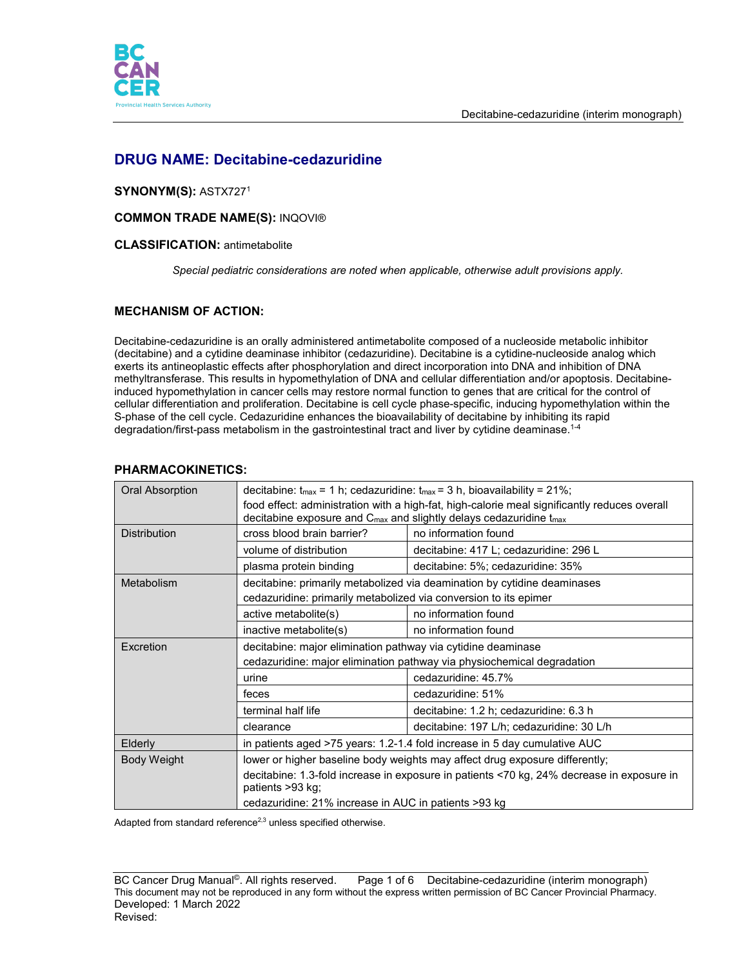



# **DRUG NAME: Decitabine-cedazuridine**

# **SYNONYM(S):** ASTX7271

### **COMMON TRADE NAME(S):** INQOVI®

### **CLASSIFICATION:** antimetabolite

*Special pediatric considerations are noted when applicable, otherwise adult provisions apply.*

# **MECHANISM OF ACTION:**

Decitabine-cedazuridine is an orally administered antimetabolite composed of a nucleoside metabolic inhibitor (decitabine) and a cytidine deaminase inhibitor (cedazuridine). Decitabine is a cytidine-nucleoside analog which exerts its antineoplastic effects after phosphorylation and direct incorporation into DNA and inhibition of DNA methyltransferase. This results in hypomethylation of DNA and cellular differentiation and/or apoptosis. Decitabineinduced hypomethylation in cancer cells may restore normal function to genes that are critical for the control of cellular differentiation and proliferation. Decitabine is cell cycle phase-specific, inducing hypomethylation within the S-phase of the cell cycle. Cedazuridine enhances the bioavailability of decitabine by inhibiting its rapid degradation/first-pass metabolism in the gastrointestinal tract and liver by cytidine deaminase.1-4

# **PHARMACOKINETICS:**

| <b>Oral Absorption</b> | decitabine: $t_{max}$ = 1 h; cedazuridine: $t_{max}$ = 3 h, bioavailability = 21%;                                                                                                         |                                                                           |  |  |
|------------------------|--------------------------------------------------------------------------------------------------------------------------------------------------------------------------------------------|---------------------------------------------------------------------------|--|--|
|                        | food effect: administration with a high-fat, high-calorie meal significantly reduces overall<br>decitabine exposure and C <sub>max</sub> and slightly delays cedazuridine t <sub>max</sub> |                                                                           |  |  |
| <b>Distribution</b>    | cross blood brain barrier?                                                                                                                                                                 | no information found                                                      |  |  |
|                        | volume of distribution                                                                                                                                                                     | decitabine: 417 L; cedazuridine: 296 L                                    |  |  |
|                        | plasma protein binding                                                                                                                                                                     | decitabine: 5%; cedazuridine: 35%                                         |  |  |
| Metabolism             | decitabine: primarily metabolized via deamination by cytidine deaminases                                                                                                                   |                                                                           |  |  |
|                        | cedazuridine: primarily metabolized via conversion to its epimer                                                                                                                           |                                                                           |  |  |
|                        | active metabolite(s)                                                                                                                                                                       | no information found                                                      |  |  |
|                        | inactive metabolite(s)                                                                                                                                                                     | no information found                                                      |  |  |
| <b>Excretion</b>       | decitabine: major elimination pathway via cytidine deaminase                                                                                                                               |                                                                           |  |  |
|                        |                                                                                                                                                                                            | cedazuridine: major elimination pathway via physiochemical degradation    |  |  |
|                        | urine                                                                                                                                                                                      | cedazuridine: 45.7%                                                       |  |  |
|                        | feces                                                                                                                                                                                      | cedazuridine: 51%                                                         |  |  |
|                        | terminal half life                                                                                                                                                                         | decitabine: 1.2 h; cedazuridine: 6.3 h                                    |  |  |
|                        | clearance                                                                                                                                                                                  | decitabine: 197 L/h; cedazuridine: 30 L/h                                 |  |  |
| Elderly                |                                                                                                                                                                                            | in patients aged >75 years: 1.2-1.4 fold increase in 5 day cumulative AUC |  |  |
| <b>Body Weight</b>     | lower or higher baseline body weights may affect drug exposure differently;                                                                                                                |                                                                           |  |  |
|                        | decitabine: 1.3-fold increase in exposure in patients <70 kg, 24% decrease in exposure in                                                                                                  |                                                                           |  |  |
|                        | patients $>93$ kg;                                                                                                                                                                         |                                                                           |  |  |
|                        | cedazuridine: 21% increase in AUC in patients >93 kg                                                                                                                                       |                                                                           |  |  |

Adapted from standard reference<sup>2,3</sup> unless specified otherwise.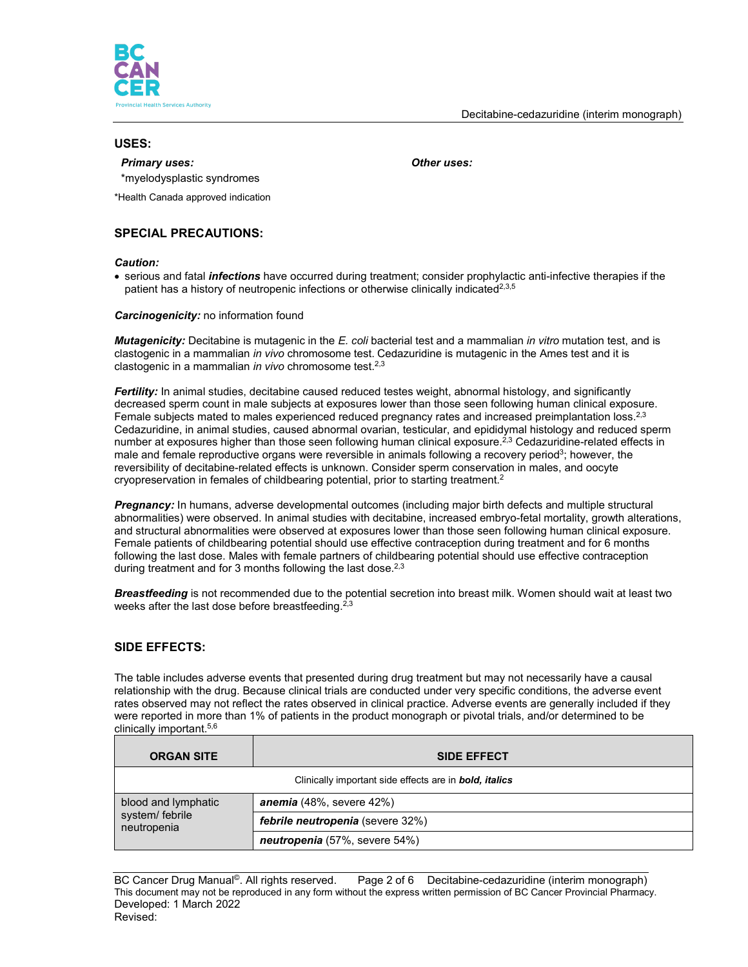

### **USES:**

#### *Primary uses: Other uses:*

\*myelodysplastic syndromes

\*Health Canada approved indication

# **SPECIAL PRECAUTIONS:**

#### *Caution:*

• serious and fatal *infections* have occurred during treatment; consider prophylactic anti-infective therapies if the patient has a history of neutropenic infections or otherwise clinically indicated<sup>2,3,5</sup>

#### *Carcinogenicity:* no information found

*Mutagenicity:* Decitabine is mutagenic in the *E. coli* bacterial test and a mammalian *in vitro* mutation test, and is clastogenic in a mammalian *in vivo* chromosome test. Cedazuridine is mutagenic in the Ames test and it is clastogenic in a mammalian *in vivo* chromosome test.2,3

*Fertility:* In animal studies, decitabine caused reduced testes weight, abnormal histology, and significantly decreased sperm count in male subjects at exposures lower than those seen following human clinical exposure. Female subjects mated to males experienced reduced pregnancy rates and increased preimplantation loss.<sup>2,3</sup> Cedazuridine, in animal studies, caused abnormal ovarian, testicular, and epididymal histology and reduced sperm number at exposures higher than those seen following human clinical exposure.<sup>2,3</sup> Cedazuridine-related effects in male and female reproductive organs were reversible in animals following a recovery period<sup>3</sup>; however, the reversibility of decitabine-related effects is unknown. Consider sperm conservation in males, and oocyte cryopreservation in females of childbearing potential, prior to starting treatment.<sup>2</sup>

*Pregnancy:* In humans, adverse developmental outcomes (including major birth defects and multiple structural abnormalities) were observed. In animal studies with decitabine, increased embryo-fetal mortality, growth alterations, and structural abnormalities were observed at exposures lower than those seen following human clinical exposure. Female patients of childbearing potential should use effective contraception during treatment and for 6 months following the last dose. Males with female partners of childbearing potential should use effective contraception during treatment and for 3 months following the last dose.<sup>2,3</sup>

*Breastfeeding* is not recommended due to the potential secretion into breast milk. Women should wait at least two weeks after the last dose before breastfeeding.<sup>2,3</sup>

### **SIDE EFFECTS:**

The table includes adverse events that presented during drug treatment but may not necessarily have a causal relationship with the drug. Because clinical trials are conducted under very specific conditions, the adverse event rates observed may not reflect the rates observed in clinical practice. Adverse events are generally included if they were reported in more than 1% of patients in the product monograph or pivotal trials, and/or determined to be clinically important.5,6

| <b>ORGAN SITE</b>              | <b>SIDE EFFECT</b>                                                    |  |  |
|--------------------------------|-----------------------------------------------------------------------|--|--|
|                                | Clinically important side effects are in <b>bold</b> , <i>italics</i> |  |  |
| blood and lymphatic            | <b>anemia</b> $(48\%$ , severe $42\%)$                                |  |  |
| system/ febrile<br>neutropenia | <b>febrile neutropenia</b> (severe 32%)                               |  |  |
|                                | neutropenia (57%, severe 54%)                                         |  |  |

BC Cancer Drug Manual<sup>©</sup>. All rights reserved. Page 2 of 6 Decitabine-cedazuridine (interim monograph) This document may not be reproduced in any form without the express written permission of BC Cancer Provincial Pharmacy. Developed: 1 March 2022 Revised: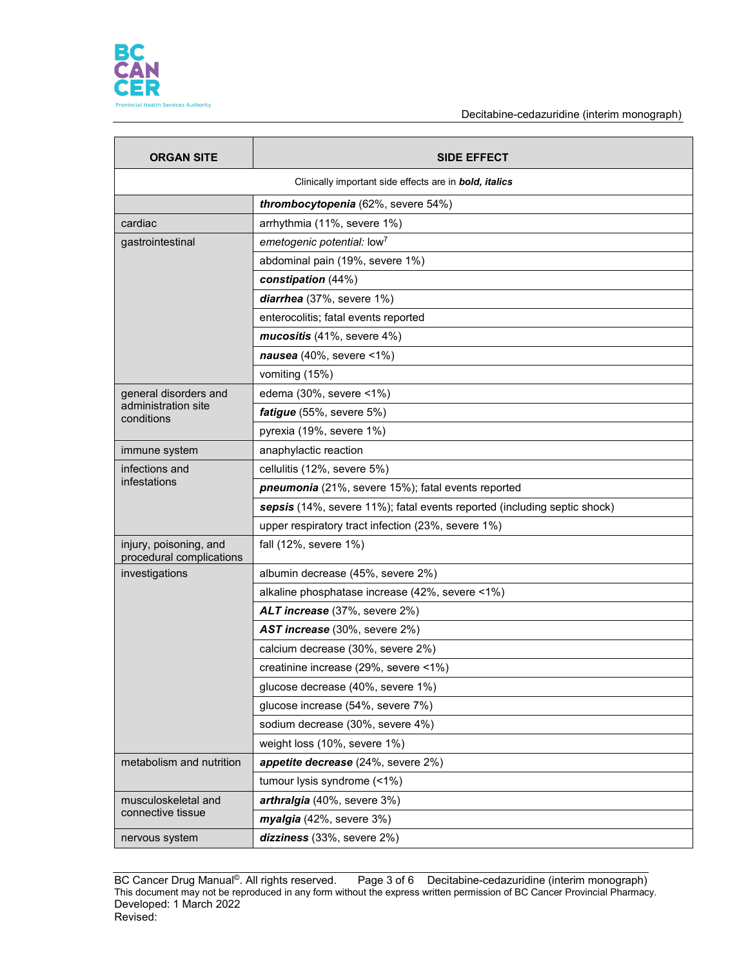

Decitabine-cedazuridine (interim monograph)

| <b>ORGAN SITE</b>                                  | <b>SIDE EFFECT</b>                                                       |  |  |  |  |
|----------------------------------------------------|--------------------------------------------------------------------------|--|--|--|--|
|                                                    | Clinically important side effects are in <b>bold, italics</b>            |  |  |  |  |
|                                                    | thrombocytopenia (62%, severe 54%)                                       |  |  |  |  |
| cardiac                                            | arrhythmia (11%, severe 1%)                                              |  |  |  |  |
| gastrointestinal                                   | emetogenic potential: low <sup>7</sup>                                   |  |  |  |  |
|                                                    | abdominal pain (19%, severe 1%)                                          |  |  |  |  |
|                                                    | constipation (44%)                                                       |  |  |  |  |
|                                                    | diarrhea (37%, severe 1%)                                                |  |  |  |  |
|                                                    | enterocolitis; fatal events reported                                     |  |  |  |  |
|                                                    | mucositis (41%, severe 4%)                                               |  |  |  |  |
|                                                    | nausea $(40\% , \text{ severe} < 1\%)$                                   |  |  |  |  |
|                                                    | vomiting (15%)                                                           |  |  |  |  |
| general disorders and                              | edema (30%, severe <1%)                                                  |  |  |  |  |
| administration site<br>conditions                  | fatigue (55%, severe 5%)                                                 |  |  |  |  |
|                                                    | pyrexia (19%, severe 1%)                                                 |  |  |  |  |
| immune system                                      | anaphylactic reaction                                                    |  |  |  |  |
| infections and                                     | cellulitis (12%, severe 5%)                                              |  |  |  |  |
| infestations                                       | <b>pneumonia</b> (21%, severe 15%); fatal events reported                |  |  |  |  |
|                                                    | sepsis (14%, severe 11%); fatal events reported (including septic shock) |  |  |  |  |
|                                                    | upper respiratory tract infection (23%, severe 1%)                       |  |  |  |  |
| injury, poisoning, and<br>procedural complications | fall (12%, severe 1%)                                                    |  |  |  |  |
| investigations                                     | albumin decrease (45%, severe 2%)                                        |  |  |  |  |
|                                                    | alkaline phosphatase increase (42%, severe <1%)                          |  |  |  |  |
|                                                    | ALT increase (37%, severe 2%)                                            |  |  |  |  |
|                                                    | AST increase (30%, severe 2%)                                            |  |  |  |  |
|                                                    | calcium decrease (30%, severe 2%)                                        |  |  |  |  |
|                                                    | creatinine increase (29%, severe <1%)                                    |  |  |  |  |
|                                                    | glucose decrease (40%, severe 1%)                                        |  |  |  |  |
|                                                    | glucose increase (54%, severe 7%)                                        |  |  |  |  |
|                                                    | sodium decrease (30%, severe 4%)                                         |  |  |  |  |
|                                                    | weight loss (10%, severe 1%)                                             |  |  |  |  |
| metabolism and nutrition                           | appetite decrease (24%, severe 2%)                                       |  |  |  |  |
|                                                    | tumour lysis syndrome (<1%)                                              |  |  |  |  |
| musculoskeletal and                                | arthralgia (40%, severe 3%)                                              |  |  |  |  |
| connective tissue                                  | myalgia (42%, severe 3%)                                                 |  |  |  |  |
| nervous system                                     | dizziness (33%, severe 2%)                                               |  |  |  |  |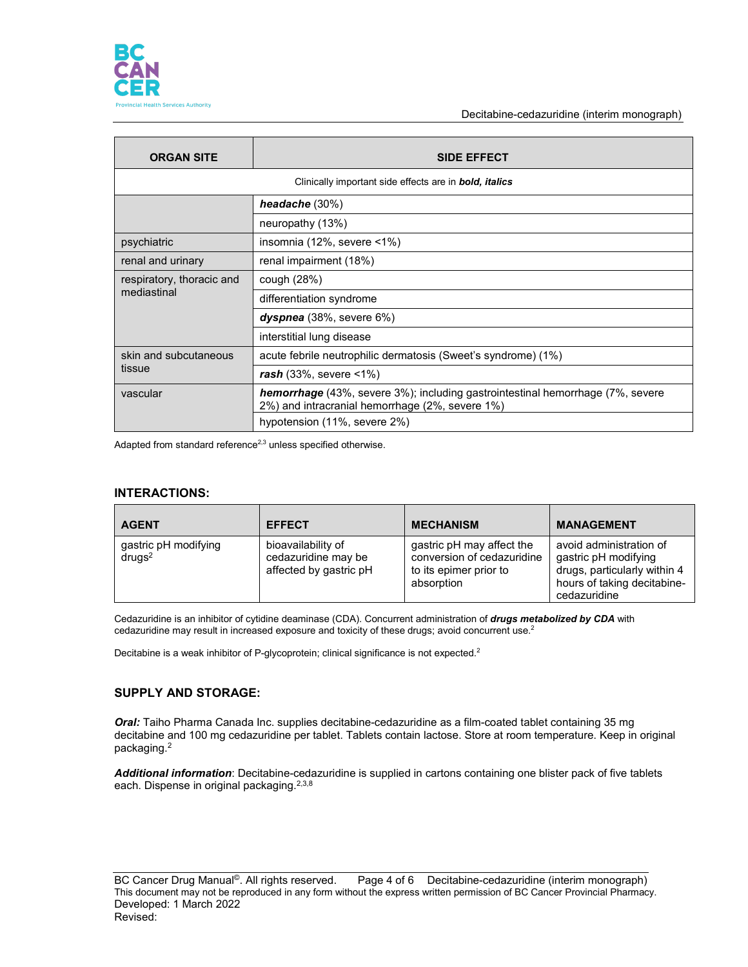

Decitabine-cedazuridine (interim monograph)

| <b>ORGAN SITE</b>         | <b>SIDE EFFECT</b>                                                                                                                       |  |  |
|---------------------------|------------------------------------------------------------------------------------------------------------------------------------------|--|--|
|                           | Clinically important side effects are in <b>bold</b> , <i>italics</i>                                                                    |  |  |
|                           | headache $(30\%)$                                                                                                                        |  |  |
|                           | neuropathy (13%)                                                                                                                         |  |  |
| psychiatric               | insomnia (12%, severe <1%)                                                                                                               |  |  |
| renal and urinary         | renal impairment (18%)                                                                                                                   |  |  |
| respiratory, thoracic and | cough (28%)                                                                                                                              |  |  |
| mediastinal               | differentiation syndrome                                                                                                                 |  |  |
|                           | $dyspnea$ (38%, severe 6%)                                                                                                               |  |  |
|                           | interstitial lung disease                                                                                                                |  |  |
| skin and subcutaneous     | acute febrile neutrophilic dermatosis (Sweet's syndrome) (1%)                                                                            |  |  |
| tissue                    | $\textit{rash}$ (33%, severe <1%)                                                                                                        |  |  |
| vascular                  | <b>hemorrhage</b> (43%, severe 3%); including gastrointestinal hemorrhage (7%, severe<br>2%) and intracranial hemorrhage (2%, severe 1%) |  |  |
|                           | hypotension (11%, severe 2%)                                                                                                             |  |  |

Adapted from standard reference $^{2,3}$  unless specified otherwise.

### **INTERACTIONS:**

| <b>AGENT</b>                               | <b>EFFECT</b>                                                       | <b>MECHANISM</b>                                                                                | <b>MANAGEMENT</b>                                                                                                              |
|--------------------------------------------|---------------------------------------------------------------------|-------------------------------------------------------------------------------------------------|--------------------------------------------------------------------------------------------------------------------------------|
| gastric pH modifying<br>drugs <sup>2</sup> | bioavailability of<br>cedazuridine may be<br>affected by gastric pH | gastric pH may affect the<br>conversion of cedazuridine<br>to its epimer prior to<br>absorption | avoid administration of<br>gastric pH modifying<br>drugs, particularly within 4<br>hours of taking decitabine-<br>cedazuridine |

Cedazuridine is an inhibitor of cytidine deaminase (CDA). Concurrent administration of *drugs metabolized by CDA* with cedazuridine may result in increased exposure and toxicity of these drugs; avoid concurrent use.<sup>2</sup>

Decitabine is a weak inhibitor of P-glycoprotein; clinical significance is not expected.<sup>2</sup>

# **SUPPLY AND STORAGE:**

*Oral:* Taiho Pharma Canada Inc. supplies decitabine-cedazuridine as a film-coated tablet containing 35 mg decitabine and 100 mg cedazuridine per tablet. Tablets contain lactose. Store at room temperature. Keep in original packaging. 2

*Additional information*: Decitabine-cedazuridine is supplied in cartons containing one blister pack of five tablets each. Dispense in original packaging.<sup>2,3,8</sup>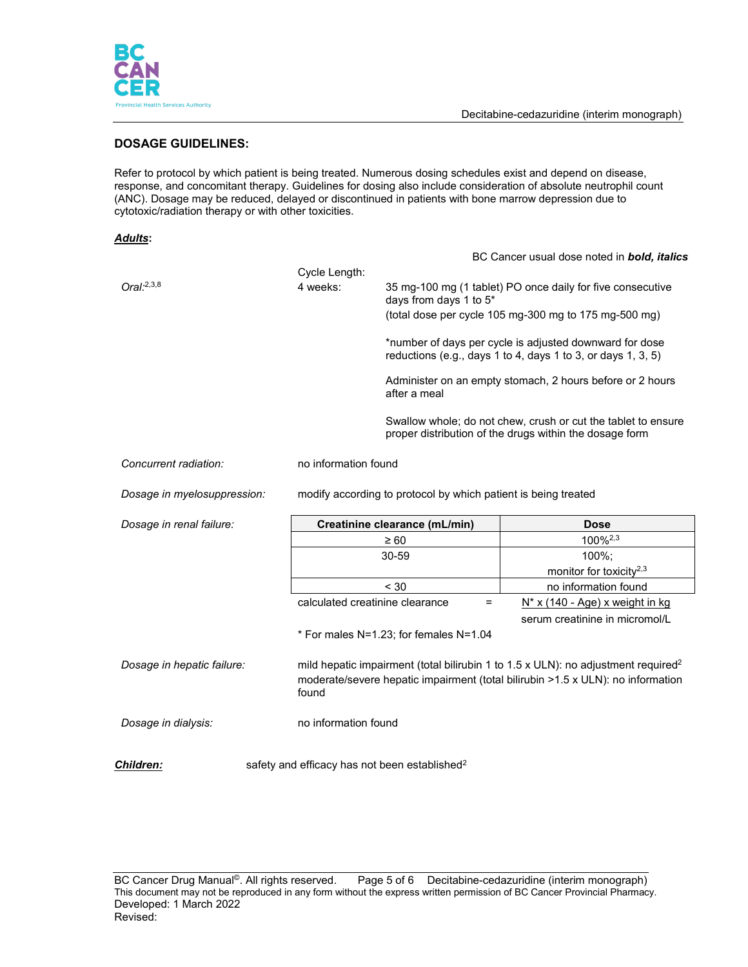

# **DOSAGE GUIDELINES:**

Refer to protocol by which patient is being treated. Numerous dosing schedules exist and depend on disease, response, and concomitant therapy. Guidelines for dosing also include consideration of absolute neutrophil count (ANC). Dosage may be reduced, delayed or discontinued in patients with bone marrow depression due to cytotoxic/radiation therapy or with other toxicities.

#### *Adults***:**

|                             |                      |                                                                |   | BC Cancer usual dose noted in <b>bold, italics</b>                                                                                                                               |  |
|-----------------------------|----------------------|----------------------------------------------------------------|---|----------------------------------------------------------------------------------------------------------------------------------------------------------------------------------|--|
|                             | Cycle Length:        |                                                                |   |                                                                                                                                                                                  |  |
| $Oral:^{2,3,8}$             | 4 weeks:             | days from days 1 to 5*                                         |   | 35 mg-100 mg (1 tablet) PO once daily for five consecutive                                                                                                                       |  |
|                             |                      |                                                                |   | (total dose per cycle 105 mg-300 mg to 175 mg-500 mg)                                                                                                                            |  |
|                             |                      |                                                                |   | *number of days per cycle is adjusted downward for dose<br>reductions (e.g., days 1 to 4, days 1 to 3, or days 1, 3, 5)                                                          |  |
|                             |                      | after a meal                                                   |   | Administer on an empty stomach, 2 hours before or 2 hours                                                                                                                        |  |
|                             |                      |                                                                |   | Swallow whole; do not chew, crush or cut the tablet to ensure<br>proper distribution of the drugs within the dosage form                                                         |  |
| Concurrent radiation:       |                      | no information found                                           |   |                                                                                                                                                                                  |  |
| Dosage in myelosuppression: |                      | modify according to protocol by which patient is being treated |   |                                                                                                                                                                                  |  |
|                             |                      |                                                                |   |                                                                                                                                                                                  |  |
| Dosage in renal failure:    |                      | Creatinine clearance (mL/min)                                  |   | <b>Dose</b>                                                                                                                                                                      |  |
|                             |                      | $\geq 60$                                                      |   | 100% <sup>2,3</sup>                                                                                                                                                              |  |
|                             |                      | 30-59                                                          |   | 100%;                                                                                                                                                                            |  |
|                             |                      |                                                                |   | monitor for toxicity <sup>2,3</sup>                                                                                                                                              |  |
|                             |                      | < 30                                                           |   | no information found                                                                                                                                                             |  |
|                             |                      | calculated creatinine clearance                                | = | $N^*$ x (140 - Age) x weight in kg                                                                                                                                               |  |
|                             |                      |                                                                |   | serum creatinine in micromol/L                                                                                                                                                   |  |
|                             |                      | * For males N=1.23; for females N=1.04                         |   |                                                                                                                                                                                  |  |
| Dosage in hepatic failure:  | found                |                                                                |   | mild hepatic impairment (total bilirubin 1 to 1.5 x ULN): no adjustment required <sup>2</sup><br>moderate/severe hepatic impairment (total bilirubin >1.5 x ULN): no information |  |
| Dosage in dialysis:         | no information found |                                                                |   |                                                                                                                                                                                  |  |